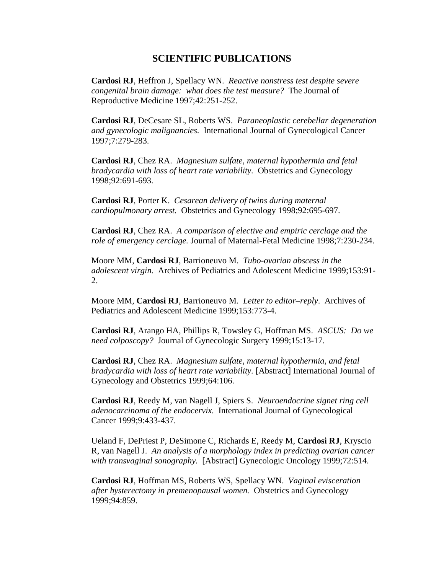## **SCIENTIFIC PUBLICATIONS**

 **Cardosi RJ**, Heffron J, Spellacy WN. *Reactive nonstress test despite severe congenital brain damage: what does the test measure?* The Journal of Reproductive Medicine 1997;42:251-252.

**Cardosi RJ**, DeCesare SL, Roberts WS. *Paraneoplastic cerebellar degeneration and gynecologic malignancies.* International Journal of Gynecological Cancer 1997;7:279-283.

**Cardosi RJ**, Chez RA. *Magnesium sulfate, maternal hypothermia and fetal bradycardia with loss of heart rate variability.* Obstetrics and Gynecology 1998;92:691-693.

**Cardosi RJ**, Porter K. *Cesarean delivery of twins during maternal cardiopulmonary arrest.* Obstetrics and Gynecology 1998;92:695-697.

 **Cardosi RJ**, Chez RA. *A comparison of elective and empiric cerclage and the role of emergency cerclage.* Journal of Maternal-Fetal Medicine 1998;7:230-234.

Moore MM, **Cardosi RJ**, Barrioneuvo M. *Tubo-ovarian abscess in the adolescent virgin.* Archives of Pediatrics and Adolescent Medicine 1999;153:91- 2.

Moore MM, **Cardosi RJ**, Barrioneuvo M. *Letter to editor–reply*. Archives of Pediatrics and Adolescent Medicine 1999;153:773-4.

 **Cardosi RJ**, Arango HA, Phillips R, Towsley G, Hoffman MS. *ASCUS: Do we need colposcopy?* Journal of Gynecologic Surgery 1999;15:13-17.

**Cardosi RJ**, Chez RA. *Magnesium sulfate, maternal hypothermia, and fetal bradycardia with loss of heart rate variability.* [Abstract] International Journal of Gynecology and Obstetrics 1999;64:106.

**Cardosi RJ**, Reedy M, van Nagell J, Spiers S. *Neuroendocrine signet ring cell adenocarcinoma of the endocervix.* International Journal of Gynecological Cancer 1999;9:433-437.

Ueland F, DePriest P, DeSimone C, Richards E, Reedy M, **Cardosi RJ**, Kryscio R, van Nagell J. *An analysis of a morphology index in predicting ovarian cancer with transvaginal sonography.* [Abstract] Gynecologic Oncology 1999;72:514.

 **Cardosi RJ**, Hoffman MS, Roberts WS, Spellacy WN. *Vaginal evisceration after hysterectomy in premenopausal women.* Obstetrics and Gynecology 1999;94:859.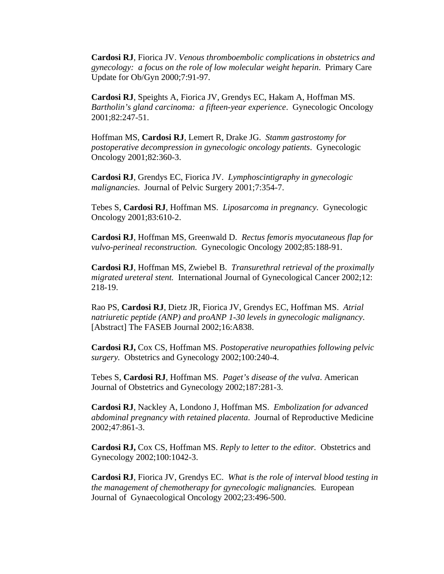**Cardosi RJ**, Fiorica JV. *Venous thromboembolic complications in obstetrics and gynecology: a focus on the role of low molecular weight heparin*. Primary Care Update for Ob/Gyn 2000;7:91-97.

 **Cardosi RJ**, Speights A, Fiorica JV, Grendys EC, Hakam A, Hoffman MS. *Bartholin's gland carcinoma: a fifteen-year experience*. Gynecologic Oncology 2001;82:247-51.

 Hoffman MS, **Cardosi RJ**, Lemert R, Drake JG. *Stamm gastrostomy for postoperative decompression in gynecologic oncology patients*. Gynecologic Oncology 2001;82:360-3.

**Cardosi RJ**, Grendys EC, Fiorica JV. *Lymphoscintigraphy in gynecologic malignancies*. Journal of Pelvic Surgery 2001;7:354-7.

 Tebes S, **Cardosi RJ**, Hoffman MS. *Liposarcoma in pregnancy.* Gynecologic Oncology 2001;83:610-2.

**Cardosi RJ**, Hoffman MS, Greenwald D. *Rectus femoris myocutaneous flap for vulvo-perineal reconstruction.* Gynecologic Oncology 2002;85:188-91.

**Cardosi RJ**, Hoffman MS, Zwiebel B. *Transurethral retrieval of the proximally migrated ureteral stent.* International Journal of Gynecological Cancer 2002;12: 218-19.

Rao PS, **Cardosi RJ**, Dietz JR, Fiorica JV, Grendys EC, Hoffman MS. *Atrial natriuretic peptide (ANP) and proANP 1-30 levels in gynecologic malignancy*. [Abstract] The FASEB Journal 2002;16:A838.

 **Cardosi RJ,** Cox CS, Hoffman MS. *Postoperative neuropathies following pelvic surgery.* Obstetrics and Gynecology 2002;100:240-4.

 Tebes S, **Cardosi RJ**, Hoffman MS. *Paget's disease of the vulva*. American Journal of Obstetrics and Gynecology 2002;187:281-3.

 **Cardosi RJ**, Nackley A, Londono J, Hoffman MS. *Embolization for advanced abdominal pregnancy with retained placenta*. Journal of Reproductive Medicine 2002;47:861-3.

**Cardosi RJ,** Cox CS, Hoffman MS. *Reply to letter to the editor.* Obstetrics and Gynecology 2002;100:1042-3.

**Cardosi RJ**, Fiorica JV, Grendys EC. *What is the role of interval blood testing in the management of chemotherapy for gynecologic malignancies.* European Journal of Gynaecological Oncology 2002;23:496-500.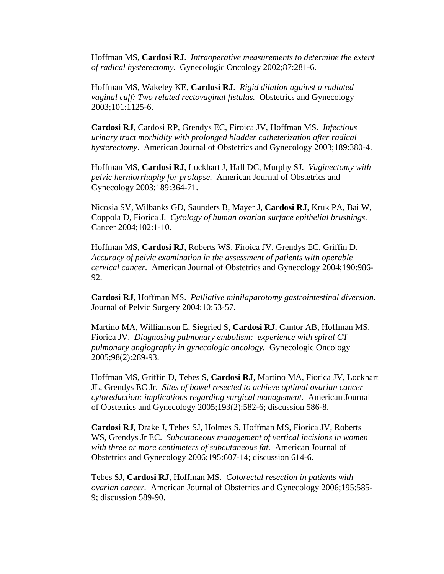Hoffman MS, **Cardosi RJ**. *Intraoperative measurements to determine the extent of radical hysterectomy.* Gynecologic Oncology 2002;87:281-6.

 Hoffman MS, Wakeley KE, **Cardosi RJ**. *Rigid dilation against a radiated vaginal cuff: Two related rectovaginal fistulas.* Obstetrics and Gynecology 2003;101:1125-6.

**Cardosi RJ**, Cardosi RP, Grendys EC, Firoica JV, Hoffman MS. *Infectious urinary tract morbidity with prolonged bladder catheterization after radical hysterectomy*. American Journal of Obstetrics and Gynecology 2003;189:380-4.

 Hoffman MS, **Cardosi RJ**, Lockhart J, Hall DC, Murphy SJ. *Vaginectomy with pelvic herniorrhaphy for prolapse.* American Journal of Obstetrics and Gynecology 2003;189:364-71.

 Nicosia SV, Wilbanks GD, Saunders B, Mayer J, **Cardosi RJ**, Kruk PA, Bai W, Coppola D, Fiorica J. *Cytology of human ovarian surface epithelial brushings.* Cancer 2004;102:1-10.

 Hoffman MS, **Cardosi RJ**, Roberts WS, Firoica JV, Grendys EC, Griffin D. *Accuracy of pelvic examination in the assessment of patients with operable cervical cancer.* American Journal of Obstetrics and Gynecology 2004;190:986- 92.

**Cardosi RJ**, Hoffman MS. *Palliative minilaparotomy gastrointestinal diversion*. Journal of Pelvic Surgery 2004;10:53-57.

Martino MA, Williamson E, Siegried S, **Cardosi RJ**, Cantor AB, Hoffman MS, Fiorica JV. *Diagnosing pulmonary embolism: experience with spiral CT pulmonary angiography in gynecologic oncology.* Gynecologic Oncology 2005;98(2):289-93.

Hoffman MS, Griffin D, Tebes S, **Cardosi RJ**, Martino MA, Fiorica JV, Lockhart JL, Grendys EC Jr. *Sites of bowel resected to achieve optimal ovarian cancer cytoreduction: implications regarding surgical management.* American Journal of Obstetrics and Gynecology 2005;193(2):582-6; discussion 586-8.

 **Cardosi RJ,** Drake J, Tebes SJ, Holmes S, Hoffman MS, Fiorica JV, Roberts WS, Grendys Jr EC. *Subcutaneous management of vertical incisions in women with three or more centimeters of subcutaneous fat.* American Journal of Obstetrics and Gynecology 2006;195:607-14; discussion 614-6.

 Tebes SJ, **Cardosi RJ**, Hoffman MS. *Colorectal resection in patients with ovarian cancer.* American Journal of Obstetrics and Gynecology 2006;195:585- 9; discussion 589-90.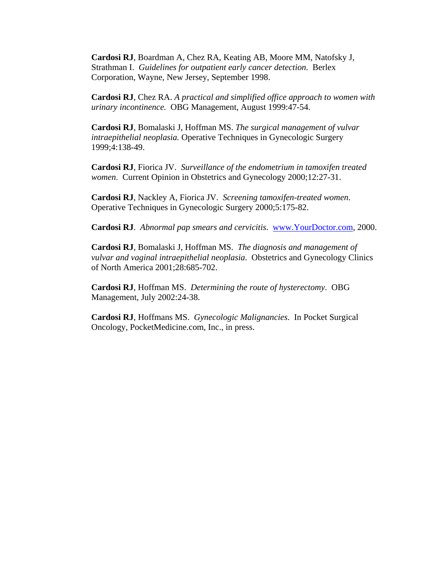**Cardosi RJ**, Boardman A, Chez RA, Keating AB, Moore MM, Natofsky J, Strathman I. *Guidelines for outpatient early cancer detection*. Berlex Corporation, Wayne, New Jersey, September 1998.

**Cardosi RJ**, Chez RA. *A practical and simplified office approach to women with urinary incontinence.* OBG Management, August 1999:47-54.

**Cardosi RJ**, Bomalaski J, Hoffman MS. *The surgical management of vulvar intraepithelial neoplasia.* Operative Techniques in Gynecologic Surgery 1999;4:138-49.

**Cardosi RJ**, Fiorica JV. *Surveillance of the endometrium in tamoxifen treated women*. Current Opinion in Obstetrics and Gynecology 2000;12:27-31.

 **Cardosi RJ**, Nackley A, Fiorica JV. *Screening tamoxifen-treated women*. Operative Techniques in Gynecologic Surgery 2000;5:175-82.

**Cardosi RJ**. *Abnormal pap smears and cervicitis*. [www.YourDoctor.com,](http://www.yourdoctor.com/) 2000.

**Cardosi RJ**, Bomalaski J, Hoffman MS. *The diagnosis and management of vulvar and vaginal intraepithelial neoplasia*. Obstetrics and Gynecology Clinics of North America 2001;28:685-702.

 **Cardosi RJ**, Hoffman MS. *Determining the route of hysterectomy*. OBG Management, July 2002:24-38.

**Cardosi RJ**, Hoffmans MS. *Gynecologic Malignancies*. In Pocket Surgical Oncology, PocketMedicine.com, Inc., in press.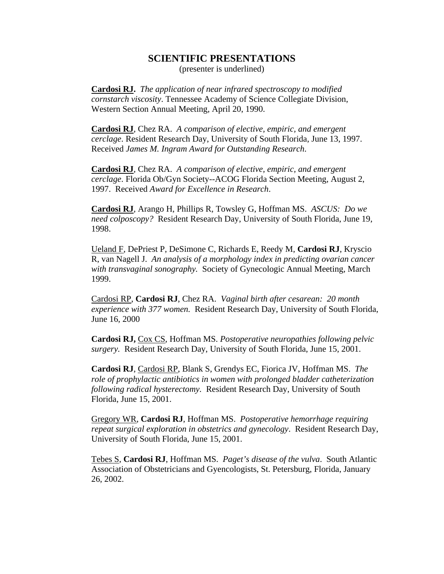## **SCIENTIFIC PRESENTATIONS**

(presenter is underlined)

**Cardosi RJ.** *The application of near infrared spectroscopy to modified cornstarch viscosity*. Tennessee Academy of Science Collegiate Division, Western Section Annual Meeting, April 20, 1990.

**Cardosi RJ**, Chez RA. *A comparison of elective, empiric, and emergent cerclage*. Resident Research Day, University of South Florida, June 13, 1997. Received *James M. Ingram Award for Outstanding Research*.

**Cardosi RJ**, Chez RA. *A comparison of elective, empiric, and emergent cerclage*. Florida Ob/Gyn Society--ACOG Florida Section Meeting, August 2, 1997. Received *Award for Excellence in Research*.

**Cardosi RJ**, Arango H, Phillips R, Towsley G, Hoffman MS. *ASCUS: Do we need colposcopy?* Resident Research Day, University of South Florida, June 19, 1998.

Ueland F, DePriest P, DeSimone C, Richards E, Reedy M, **Cardosi RJ**, Kryscio R, van Nagell J. *An analysis of a morphology index in predicting ovarian cancer with transvaginal sonography.* Society of Gynecologic Annual Meeting, March 1999.

Cardosi RP, **Cardosi RJ**, Chez RA. *Vaginal birth after cesarean: 20 month experience with 377 women.* Resident Research Day, University of South Florida, June 16, 2000

**Cardosi RJ,** Cox CS, Hoffman MS. *Postoperative neuropathies following pelvic surgery.* Resident Research Day, University of South Florida, June 15, 2001.

 **Cardosi RJ**, Cardosi RP, Blank S, Grendys EC, Fiorica JV, Hoffman MS. *The role of prophylactic antibiotics in women with prolonged bladder catheterization following radical hysterectomy.* Resident Research Day, University of South Florida, June 15, 2001.

Gregory WR, **Cardosi RJ**, Hoffman MS. *Postoperative hemorrhage requiring repeat surgical exploration in obstetrics and gynecology*. Resident Research Day, University of South Florida, June 15, 2001.

Tebes S, **Cardosi RJ**, Hoffman MS. *Paget's disease of the vulva*. South Atlantic Association of Obstetricians and Gyencologists, St. Petersburg, Florida, January 26, 2002.